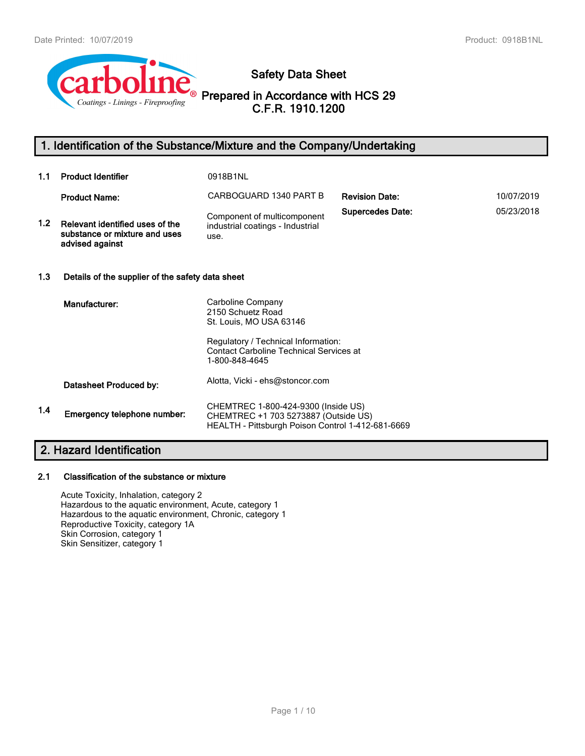

**Safety Data Sheet**

**Prepared in Accordance with HCS 29 C.F.R. 1910.1200**

# **1. Identification of the Substance/Mixture and the Company/Undertaking**

| 1.1              | <b>Product Identifier</b>                                                           | 0918B1NL                                                                                                                         |                         |            |  |
|------------------|-------------------------------------------------------------------------------------|----------------------------------------------------------------------------------------------------------------------------------|-------------------------|------------|--|
|                  | <b>Product Name:</b>                                                                | CARBOGUARD 1340 PART B                                                                                                           | <b>Revision Date:</b>   | 10/07/2019 |  |
| 1.2 <sub>1</sub> | Relevant identified uses of the<br>substance or mixture and uses<br>advised against | Component of multicomponent<br>industrial coatings - Industrial<br>use.                                                          | <b>Supercedes Date:</b> | 05/23/2018 |  |
| 1.3              | Details of the supplier of the safety data sheet                                    |                                                                                                                                  |                         |            |  |
|                  | Manufacturer:                                                                       | Carboline Company<br>2150 Schuetz Road<br>St. Louis, MO USA 63146<br>Regulatory / Technical Information:                         |                         |            |  |
|                  |                                                                                     | <b>Contact Carboline Technical Services at</b><br>1-800-848-4645                                                                 |                         |            |  |
|                  | Datasheet Produced by:                                                              | Alotta, Vicki - ehs@stoncor.com                                                                                                  |                         |            |  |
| 1.4              | Emergency telephone number:                                                         | CHEMTREC 1-800-424-9300 (Inside US)<br>CHEMTREC +1 703 5273887 (Outside US)<br>HEALTH - Pittsburgh Poison Control 1-412-681-6669 |                         |            |  |

# **2. Hazard Identification**

#### **2.1 Classification of the substance or mixture**

Acute Toxicity, Inhalation, category 2 Hazardous to the aquatic environment, Acute, category 1 Hazardous to the aquatic environment, Chronic, category 1 Reproductive Toxicity, category 1A Skin Corrosion, category 1 Skin Sensitizer, category 1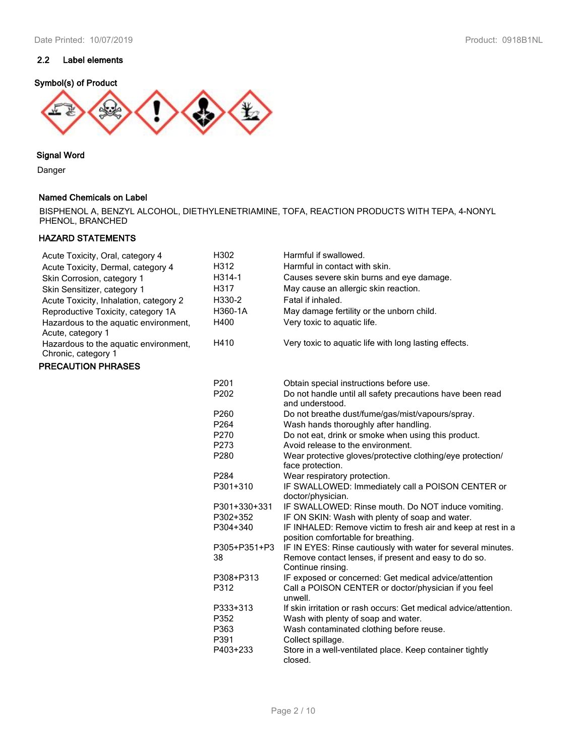# **2.2 Label elements**

# **Symbol(s) of Product**



## **Signal Word**

Danger

## **Named Chemicals on Label**

BISPHENOL A, BENZYL ALCOHOL, DIETHYLENETRIAMINE, TOFA, REACTION PRODUCTS WITH TEPA, 4-NONYL PHENOL, BRANCHED

# **HAZARD STATEMENTS**

| Acute Toxicity, Oral, category 4                             | H302               | Harmful if swallowed.                                                                                                                     |
|--------------------------------------------------------------|--------------------|-------------------------------------------------------------------------------------------------------------------------------------------|
| Acute Toxicity, Dermal, category 4                           | H312               | Harmful in contact with skin.                                                                                                             |
| Skin Corrosion, category 1                                   | H314-1             | Causes severe skin burns and eye damage.                                                                                                  |
| Skin Sensitizer, category 1                                  | H317               | May cause an allergic skin reaction.                                                                                                      |
| Acute Toxicity, Inhalation, category 2                       | H330-2             | Fatal if inhaled.                                                                                                                         |
| Reproductive Toxicity, category 1A                           | H360-1A            | May damage fertility or the unborn child.                                                                                                 |
| Hazardous to the aquatic environment,<br>Acute, category 1   | H400               | Very toxic to aquatic life.                                                                                                               |
| Hazardous to the aquatic environment,<br>Chronic, category 1 | H410               | Very toxic to aquatic life with long lasting effects.                                                                                     |
| <b>PRECAUTION PHRASES</b>                                    |                    |                                                                                                                                           |
|                                                              | P201               | Obtain special instructions before use.                                                                                                   |
|                                                              | P202               | Do not handle until all safety precautions have been read<br>and understood.                                                              |
|                                                              | P260               | Do not breathe dust/fume/gas/mist/vapours/spray.                                                                                          |
|                                                              | P <sub>264</sub>   | Wash hands thoroughly after handling.                                                                                                     |
|                                                              | P270               | Do not eat, drink or smoke when using this product.                                                                                       |
|                                                              | P273               | Avoid release to the environment.                                                                                                         |
|                                                              | P280               | Wear protective gloves/protective clothing/eye protection/<br>face protection.                                                            |
|                                                              | P284               | Wear respiratory protection.                                                                                                              |
|                                                              | P301+310           | IF SWALLOWED: Immediately call a POISON CENTER or<br>doctor/physician.                                                                    |
|                                                              | P301+330+331       | IF SWALLOWED: Rinse mouth. Do NOT induce vomiting.                                                                                        |
|                                                              | P302+352           | IF ON SKIN: Wash with plenty of soap and water.                                                                                           |
|                                                              | P304+340           | IF INHALED: Remove victim to fresh air and keep at rest in a<br>position comfortable for breathing.                                       |
|                                                              | P305+P351+P3<br>38 | IF IN EYES: Rinse cautiously with water for several minutes.<br>Remove contact lenses, if present and easy to do so.<br>Continue rinsing. |
|                                                              | P308+P313          | IF exposed or concerned: Get medical advice/attention                                                                                     |
|                                                              | P312               | Call a POISON CENTER or doctor/physician if you feel<br>unwell.                                                                           |
|                                                              | P333+313           | If skin irritation or rash occurs: Get medical advice/attention.                                                                          |
|                                                              | P352               | Wash with plenty of soap and water.                                                                                                       |
|                                                              | P363               | Wash contaminated clothing before reuse.                                                                                                  |
|                                                              | P391               | Collect spillage.                                                                                                                         |
|                                                              | P403+233           | Store in a well-ventilated place. Keep container tightly<br>closed.                                                                       |
|                                                              |                    |                                                                                                                                           |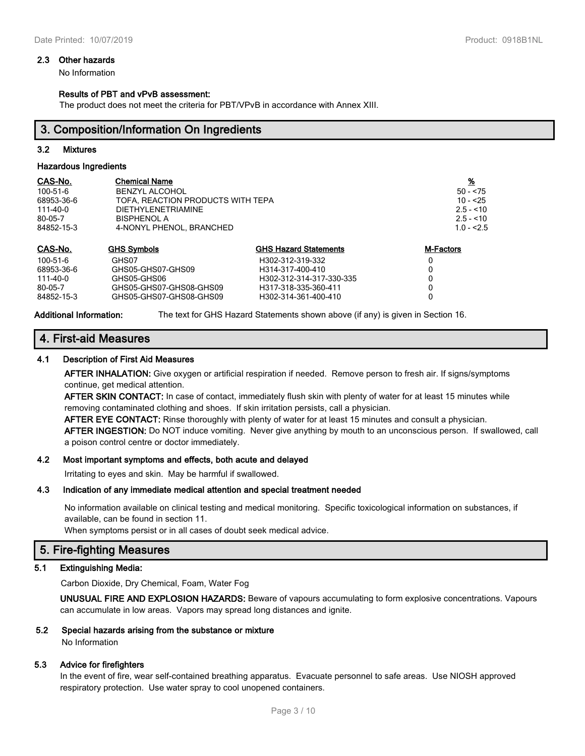#### **2.3 Other hazards**

No Information

#### **Results of PBT and vPvB assessment:**

The product does not meet the criteria for PBT/VPvB in accordance with Annex XIII.

# **3. Composition/Information On Ingredients**

#### **3.2 Mixtures**

#### **Hazardous Ingredients**

| CAS-No.    | <b>Chemical Name</b>              |                              | <u>%</u>         |
|------------|-----------------------------------|------------------------------|------------------|
| 100-51-6   | <b>BENZYL ALCOHOL</b>             |                              | $50 - 75$        |
| 68953-36-6 | TOFA. REACTION PRODUCTS WITH TEPA | $10 - 25$                    |                  |
| 111-40-0   | <b>DIETHYLENETRIAMINE</b>         |                              | $2.5 - 10$       |
| 80-05-7    | <b>BISPHENOL A</b>                |                              | $2.5 - 10$       |
| 84852-15-3 | 4-NONYL PHENOL, BRANCHED          | $1.0 - 2.5$                  |                  |
| CAS-No.    | <b>GHS Symbols</b>                | <b>GHS Hazard Statements</b> | <b>M-Factors</b> |
| 100-51-6   | GHS07                             | H302-312-319-332             | 0                |
| 68953-36-6 | GHS05-GHS07-GHS09                 | H314-317-400-410             |                  |
| 111-40-0   | GHS05-GHS06                       | H302-312-314-317-330-335     |                  |
| 80-05-7    | GHS05-GHS07-GHS08-GHS09           | H317-318-335-360-411         |                  |

84852-15-3 GHS05-GHS07-GHS08-GHS09 H302-314-361-400-410 0

**Additional Information:** The text for GHS Hazard Statements shown above (if any) is given in Section 16.

# **4. First-aid Measures**

#### **4.1 Description of First Aid Measures**

**AFTER INHALATION:** Give oxygen or artificial respiration if needed. Remove person to fresh air. If signs/symptoms continue, get medical attention.

**AFTER SKIN CONTACT:** In case of contact, immediately flush skin with plenty of water for at least 15 minutes while removing contaminated clothing and shoes. If skin irritation persists, call a physician.

**AFTER EYE CONTACT:** Rinse thoroughly with plenty of water for at least 15 minutes and consult a physician. **AFTER INGESTION:** Do NOT induce vomiting. Never give anything by mouth to an unconscious person. If swallowed, call a poison control centre or doctor immediately.

#### **4.2 Most important symptoms and effects, both acute and delayed**

Irritating to eyes and skin. May be harmful if swallowed.

#### **4.3 Indication of any immediate medical attention and special treatment needed**

No information available on clinical testing and medical monitoring. Specific toxicological information on substances, if available, can be found in section 11.

When symptoms persist or in all cases of doubt seek medical advice.

# **5. Fire-fighting Measures**

#### **5.1 Extinguishing Media:**

Carbon Dioxide, Dry Chemical, Foam, Water Fog

**UNUSUAL FIRE AND EXPLOSION HAZARDS:** Beware of vapours accumulating to form explosive concentrations. Vapours can accumulate in low areas. Vapors may spread long distances and ignite.

## **5.2 Special hazards arising from the substance or mixture**

No Information

#### **5.3 Advice for firefighters**

In the event of fire, wear self-contained breathing apparatus. Evacuate personnel to safe areas. Use NIOSH approved respiratory protection. Use water spray to cool unopened containers.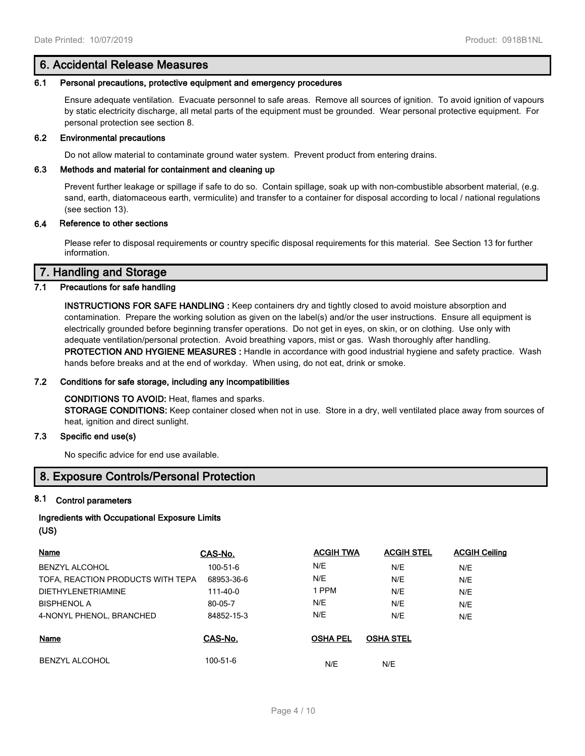# **6. Accidental Release Measures**

#### **6.1 Personal precautions, protective equipment and emergency procedures**

Ensure adequate ventilation. Evacuate personnel to safe areas. Remove all sources of ignition. To avoid ignition of vapours by static electricity discharge, all metal parts of the equipment must be grounded. Wear personal protective equipment. For personal protection see section 8.

#### **6.2 Environmental precautions**

Do not allow material to contaminate ground water system. Prevent product from entering drains.

## **6.3 Methods and material for containment and cleaning up**

Prevent further leakage or spillage if safe to do so. Contain spillage, soak up with non-combustible absorbent material, (e.g. sand, earth, diatomaceous earth, vermiculite) and transfer to a container for disposal according to local / national regulations (see section 13).

#### **6.4 Reference to other sections**

Please refer to disposal requirements or country specific disposal requirements for this material. See Section 13 for further information.

# **7. Handling and Storage**

# **7.1 Precautions for safe handling**

**INSTRUCTIONS FOR SAFE HANDLING :** Keep containers dry and tightly closed to avoid moisture absorption and contamination. Prepare the working solution as given on the label(s) and/or the user instructions. Ensure all equipment is electrically grounded before beginning transfer operations. Do not get in eyes, on skin, or on clothing. Use only with adequate ventilation/personal protection. Avoid breathing vapors, mist or gas. Wash thoroughly after handling. **PROTECTION AND HYGIENE MEASURES :** Handle in accordance with good industrial hygiene and safety practice. Wash hands before breaks and at the end of workday. When using, do not eat, drink or smoke.

# **7.2 Conditions for safe storage, including any incompatibilities**

# **CONDITIONS TO AVOID:** Heat, flames and sparks. **STORAGE CONDITIONS:** Keep container closed when not in use. Store in a dry, well ventilated place away from sources of heat, ignition and direct sunlight.

## **7.3 Specific end use(s)**

No specific advice for end use available.

# **8. Exposure Controls/Personal Protection**

#### **8.1 Control parameters**

# **Ingredients with Occupational Exposure Limits (US)**

| Name                              | CAS-No.        | <b>ACGIH TWA</b> | <b>ACGIH STEL</b> | <b>ACGIH Ceiling</b> |
|-----------------------------------|----------------|------------------|-------------------|----------------------|
| BENZYL ALCOHOL                    | 100-51-6       | N/E              | N/E               | N/E                  |
| TOFA, REACTION PRODUCTS WITH TEPA | 68953-36-6     | N/E              | N/E               | N/E                  |
| <b>DIETHYLENETRIAMINE</b>         | 111-40-0       | 1 PPM            | N/E               | N/E                  |
| <b>BISPHENOL A</b>                | 80-05-7        | N/E              | N/E               | N/E                  |
| 4-NONYL PHENOL, BRANCHED          | 84852-15-3     | N/E              | N/E               | N/E                  |
| Name                              | CAS-No.        | <b>OSHA PEL</b>  | <b>OSHA STEL</b>  |                      |
| <b>BENZYL ALCOHOL</b>             | $100 - 51 - 6$ | N/E              | N/E               |                      |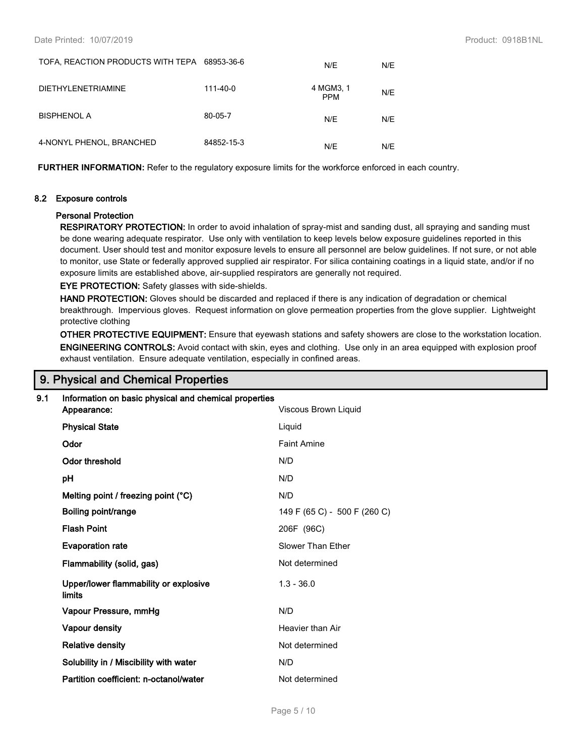| TOFA, REACTION PRODUCTS WITH TEPA 68953-36-6 |            | N/E                     | N/E |
|----------------------------------------------|------------|-------------------------|-----|
| <b>DIETHYLENETRIAMINE</b>                    | 111-40-0   | 4 MGM3, 1<br><b>PPM</b> | N/E |
| <b>BISPHENOL A</b>                           | 80-05-7    | N/E                     | N/E |
| 4-NONYL PHENOL, BRANCHED                     | 84852-15-3 | N/E                     | N/E |

**FURTHER INFORMATION:** Refer to the regulatory exposure limits for the workforce enforced in each country.

#### **8.2 Exposure controls**

#### **Personal Protection**

**RESPIRATORY PROTECTION:** In order to avoid inhalation of spray-mist and sanding dust, all spraying and sanding must be done wearing adequate respirator. Use only with ventilation to keep levels below exposure guidelines reported in this document. User should test and monitor exposure levels to ensure all personnel are below guidelines. If not sure, or not able to monitor, use State or federally approved supplied air respirator. For silica containing coatings in a liquid state, and/or if no exposure limits are established above, air-supplied respirators are generally not required.

**EYE PROTECTION:** Safety glasses with side-shields.

**HAND PROTECTION:** Gloves should be discarded and replaced if there is any indication of degradation or chemical breakthrough. Impervious gloves. Request information on glove permeation properties from the glove supplier. Lightweight protective clothing

**OTHER PROTECTIVE EQUIPMENT:** Ensure that eyewash stations and safety showers are close to the workstation location. **ENGINEERING CONTROLS:** Avoid contact with skin, eyes and clothing. Use only in an area equipped with explosion proof exhaust ventilation. Ensure adequate ventilation, especially in confined areas.

# **9. Physical and Chemical Properties**

# **9.1 Information on basic physical and chemical properties**

| Appearance:                                     | Viscous Brown Liquid         |
|-------------------------------------------------|------------------------------|
| <b>Physical State</b>                           | Liquid                       |
| Odor                                            | <b>Faint Amine</b>           |
| <b>Odor threshold</b>                           | N/D                          |
| рH                                              | N/D                          |
| Melting point / freezing point (°C)             | N/D                          |
| Boiling point/range                             | 149 F (65 C) - 500 F (260 C) |
| <b>Flash Point</b>                              | 206F (96C)                   |
| <b>Evaporation rate</b>                         | Slower Than Ether            |
| Flammability (solid, gas)                       | Not determined               |
| Upper/lower flammability or explosive<br>limits | $1.3 - 36.0$                 |
| Vapour Pressure, mmHg                           | N/D                          |
| <b>Vapour density</b>                           | Heavier than Air             |
| <b>Relative density</b>                         | Not determined               |
| Solubility in / Miscibility with water          | N/D                          |
| Partition coefficient: n-octanol/water          | Not determined               |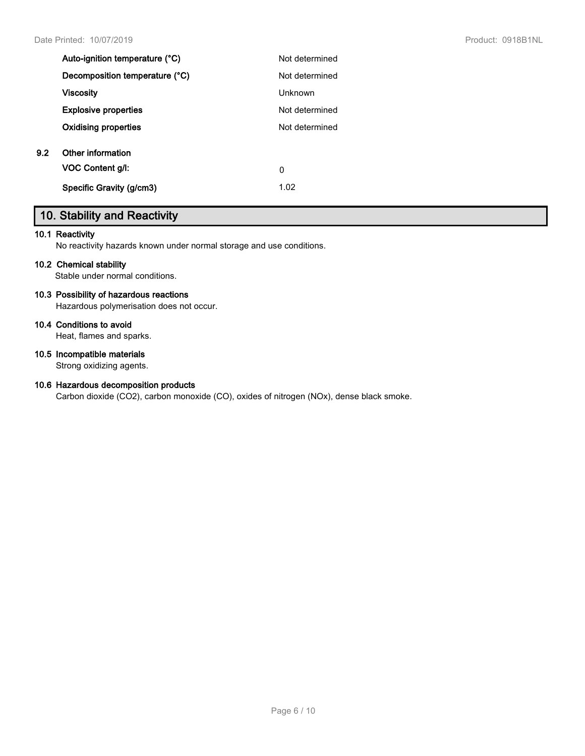| Auto-ignition temperature (°C) | Not determined |
|--------------------------------|----------------|
| Decomposition temperature (°C) | Not determined |
| <b>Viscosity</b>               | Unknown        |
| <b>Explosive properties</b>    | Not determined |
| <b>Oxidising properties</b>    | Not determined |
| Other information              |                |
| <b>VOC Content g/l:</b>        | 0              |
| Specific Gravity (g/cm3)       | 1.02           |
|                                |                |

# **10. Stability and Reactivity**

## **10.1 Reactivity**

No reactivity hazards known under normal storage and use conditions.

# **10.2 Chemical stability**

Stable under normal conditions.

# **10.3 Possibility of hazardous reactions**

Hazardous polymerisation does not occur.

# **10.4 Conditions to avoid**

Heat, flames and sparks.

# **10.5 Incompatible materials**

Strong oxidizing agents.

# **10.6 Hazardous decomposition products**

Carbon dioxide (CO2), carbon monoxide (CO), oxides of nitrogen (NOx), dense black smoke.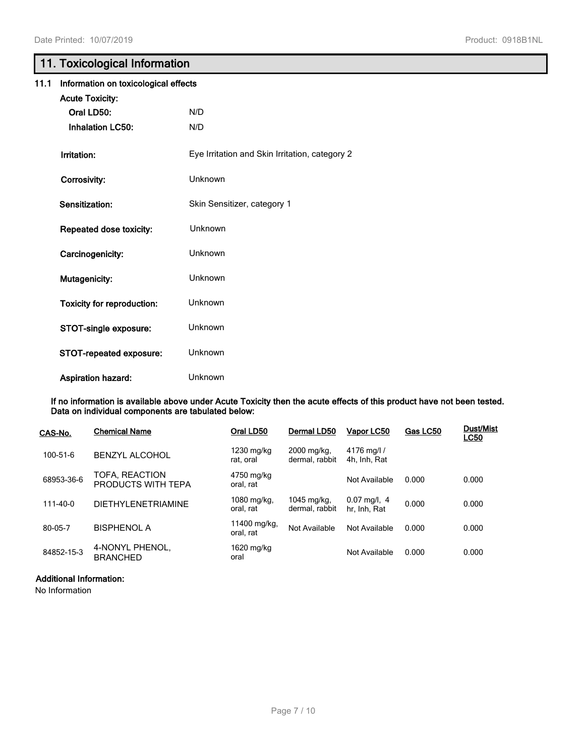# **11. Toxicological Information**

| 11.1 | Information on toxicological effects |                                                |  |  |
|------|--------------------------------------|------------------------------------------------|--|--|
|      | <b>Acute Toxicity:</b>               |                                                |  |  |
|      | Oral LD50:                           | N/D                                            |  |  |
|      | <b>Inhalation LC50:</b>              | N/D                                            |  |  |
|      | Irritation:                          | Eye Irritation and Skin Irritation, category 2 |  |  |
|      | Corrosivity:                         | Unknown                                        |  |  |
|      | Sensitization:                       | Skin Sensitizer, category 1                    |  |  |
|      | Repeated dose toxicity:              | Unknown                                        |  |  |
|      | Carcinogenicity:                     | Unknown                                        |  |  |
|      | Mutagenicity:                        | Unknown                                        |  |  |
|      | <b>Toxicity for reproduction:</b>    | Unknown                                        |  |  |
|      | STOT-single exposure:                | Unknown                                        |  |  |
|      | STOT-repeated exposure:              | Unknown                                        |  |  |
|      | <b>Aspiration hazard:</b>            | Unknown                                        |  |  |

**If no information is available above under Acute Toxicity then the acute effects of this product have not been tested. Data on individual components are tabulated below:**

| CAS-No.        | <b>Chemical Name</b>                 | Oral LD50                 | Dermal LD50                   | Vapor LC50                              | Gas LC50 | <b>Dust/Mist</b><br><b>LC50</b> |
|----------------|--------------------------------------|---------------------------|-------------------------------|-----------------------------------------|----------|---------------------------------|
| 100-51-6       | <b>BENZYL ALCOHOL</b>                | 1230 mg/kg<br>rat. oral   | 2000 mg/kg,<br>dermal, rabbit | 4176 mg/l /<br>4h, Inh, Rat             |          |                                 |
| 68953-36-6     | TOFA, REACTION<br>PRODUCTS WITH TEPA | 4750 mg/kg<br>oral. rat   |                               | Not Available                           | 0.000    | 0.000                           |
| $111 - 40 - 0$ | <b>DIETHYLENETRIAMINE</b>            | 1080 mg/kg,<br>oral, rat  | 1045 mg/kg.<br>dermal, rabbit | $0.07 \text{ mg/l}$ , 4<br>hr, Inh, Rat | 0.000    | 0.000                           |
| 80-05-7        | BISPHENOL A                          | 11400 mg/kg,<br>oral. rat | Not Available                 | Not Available                           | 0.000    | 0.000                           |
| 84852-15-3     | 4-NONYL PHENOL,<br><b>BRANCHED</b>   | 1620 mg/kg<br>oral        |                               | Not Available                           | 0.000    | 0.000                           |

# **Additional Information:**

No Information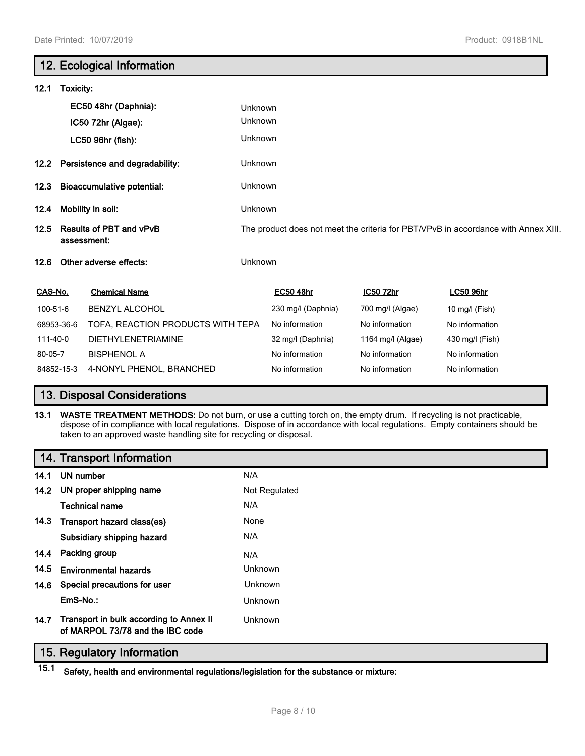|          |                                               | 12. Ecological Information          |         |                    |                   |                                                                                    |  |
|----------|-----------------------------------------------|-------------------------------------|---------|--------------------|-------------------|------------------------------------------------------------------------------------|--|
| 12.1     | Toxicity:                                     |                                     |         |                    |                   |                                                                                    |  |
|          |                                               | EC50 48hr (Daphnia):                | Unknown |                    |                   |                                                                                    |  |
|          |                                               | IC50 72hr (Algae):                  | Unknown |                    |                   |                                                                                    |  |
|          |                                               | LC50 96hr (fish):                   | Unknown |                    |                   |                                                                                    |  |
|          |                                               | 12.2 Persistence and degradability: | Unknown |                    |                   |                                                                                    |  |
| 12.3     | <b>Bioaccumulative potential:</b>             |                                     | Unknown |                    |                   |                                                                                    |  |
| 12.4     | Mobility in soil:                             |                                     | Unknown |                    |                   |                                                                                    |  |
| 12.5     | <b>Results of PBT and vPvB</b><br>assessment: |                                     |         |                    |                   | The product does not meet the criteria for PBT/VPvB in accordance with Annex XIII. |  |
| 12.6     |                                               | Other adverse effects:              | Unknown |                    |                   |                                                                                    |  |
| CAS-No.  |                                               | <b>Chemical Name</b>                |         | <b>EC50 48hr</b>   | IC50 72hr         | <b>LC50 96hr</b>                                                                   |  |
| 100-51-6 |                                               | <b>BENZYL ALCOHOL</b>               |         | 230 mg/l (Daphnia) | 700 mg/l (Algae)  | 10 mg/l (Fish)                                                                     |  |
|          | 68953-36-6                                    | TOFA, REACTION PRODUCTS WITH TEPA   |         | No information     | No information    | No information                                                                     |  |
| 111-40-0 |                                               | <b>DIETHYLENETRIAMINE</b>           |         | 32 mg/l (Daphnia)  | 1164 mg/l (Algae) | 430 mg/l (Fish)                                                                    |  |
| 80-05-7  |                                               | <b>BISPHENOL A</b>                  |         | No information     | No information    | No information                                                                     |  |
|          | 84852-15-3                                    | 4-NONYL PHENOL, BRANCHED            |         | No information     | No information    | No information                                                                     |  |

# **13. Disposal Considerations**

**13.1 WASTE TREATMENT METHODS:** Do not burn, or use a cutting torch on, the empty drum. If recycling is not practicable, dispose of in compliance with local regulations. Dispose of in accordance with local regulations. Empty containers should be taken to an approved waste handling site for recycling or disposal.

# **14. Transport Information**

|      | 14.1 UN number                                                              | N/A            |
|------|-----------------------------------------------------------------------------|----------------|
|      | 14.2 UN proper shipping name                                                | Not Regulated  |
|      | <b>Technical name</b>                                                       | N/A            |
|      | 14.3 Transport hazard class(es)                                             | None           |
|      | Subsidiary shipping hazard                                                  | N/A            |
|      | 14.4 Packing group                                                          | N/A            |
| 14.5 | <b>Environmental hazards</b>                                                | Unknown        |
|      | 14.6 Special precautions for user                                           | <b>Unknown</b> |
|      | EmS-No.:                                                                    | <b>Unknown</b> |
| 14.7 | Transport in bulk according to Annex II<br>of MARPOL 73/78 and the IBC code | Unknown        |

# **15. Regulatory Information**

**15.1 Safety, health and environmental regulations/legislation for the substance or mixture:**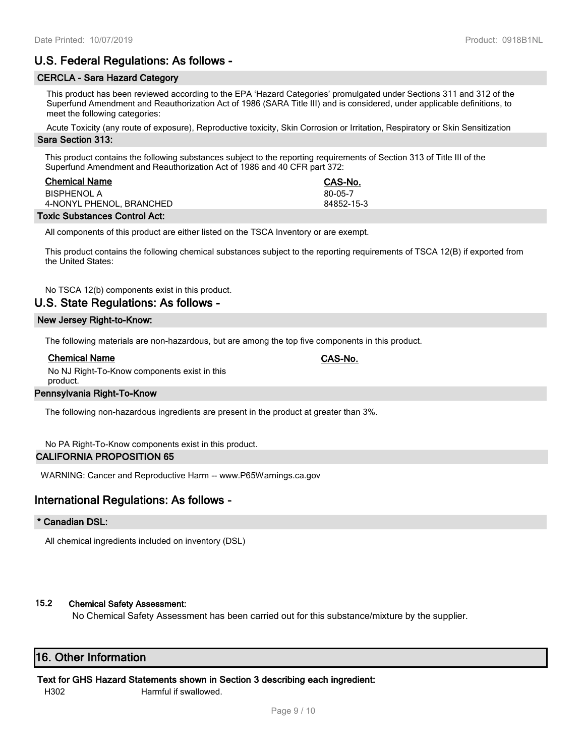# **U.S. Federal Regulations: As follows -**

## **CERCLA - Sara Hazard Category**

This product has been reviewed according to the EPA 'Hazard Categories' promulgated under Sections 311 and 312 of the Superfund Amendment and Reauthorization Act of 1986 (SARA Title III) and is considered, under applicable definitions, to meet the following categories:

Acute Toxicity (any route of exposure), Reproductive toxicity, Skin Corrosion or Irritation, Respiratory or Skin Sensitization

## **Sara Section 313:**

This product contains the following substances subject to the reporting requirements of Section 313 of Title III of the Superfund Amendment and Reauthorization Act of 1986 and 40 CFR part 372:

| <b>Chemical Name</b>     | CAS-No.    |
|--------------------------|------------|
| <b>BISPHENOL A</b>       | 80-05-7    |
| 4-NONYL PHENOL, BRANCHED | 84852-15-3 |
|                          |            |

## **Toxic Substances Control Act:**

All components of this product are either listed on the TSCA Inventory or are exempt.

This product contains the following chemical substances subject to the reporting requirements of TSCA 12(B) if exported from the United States:

No TSCA 12(b) components exist in this product.

# **U.S. State Regulations: As follows -**

#### **New Jersey Right-to-Know:**

The following materials are non-hazardous, but are among the top five components in this product.

#### **Chemical Name CAS-No.**

No NJ Right-To-Know components exist in this product.

# **Pennsylvania Right-To-Know**

The following non-hazardous ingredients are present in the product at greater than 3%.

No PA Right-To-Know components exist in this product.

#### **CALIFORNIA PROPOSITION 65**

WARNING: Cancer and Reproductive Harm -- www.P65Warnings.ca.gov

# **International Regulations: As follows -**

#### **\* Canadian DSL:**

All chemical ingredients included on inventory (DSL)

# **15.2 Chemical Safety Assessment:**

No Chemical Safety Assessment has been carried out for this substance/mixture by the supplier.

# **16. Other Information**

#### **Text for GHS Hazard Statements shown in Section 3 describing each ingredient:**

H302 Harmful if swallowed.

Page 9 / 10